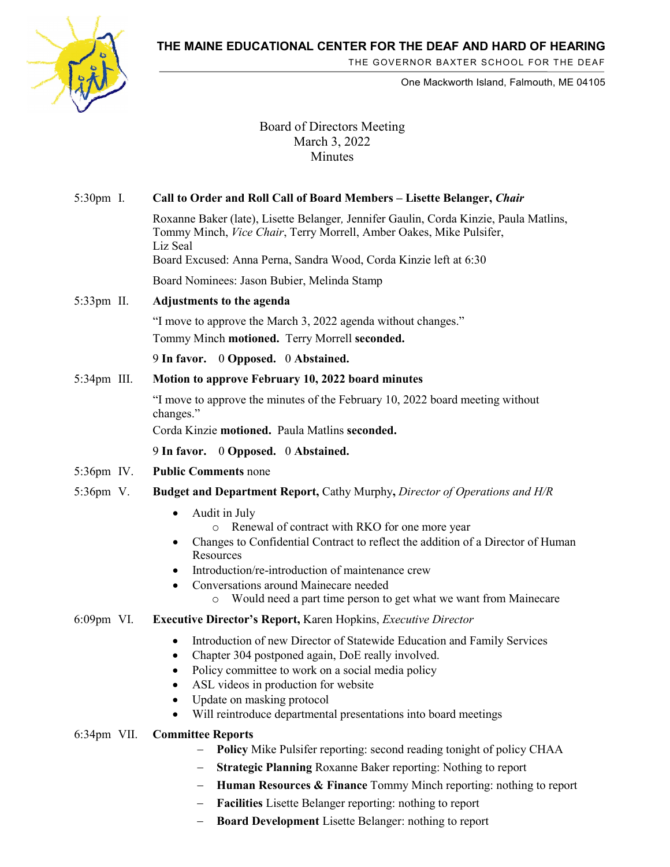**THE MAINE EDUCATIONAL CENTER FOR THE DEAF AND HARD OF HEARING**



THE GOVERNOR BAXTER SCHOOL FOR THE DEAF

One Mackworth Island, Falmouth, ME 04105

## Board of Directors Meeting March 3, 2022 Minutes

| 5:30pm I.      | Call to Order and Roll Call of Board Members - Lisette Belanger, Chair                                                                                                                                                                                                                                                                                        |
|----------------|---------------------------------------------------------------------------------------------------------------------------------------------------------------------------------------------------------------------------------------------------------------------------------------------------------------------------------------------------------------|
|                | Roxanne Baker (late), Lisette Belanger, Jennifer Gaulin, Corda Kinzie, Paula Matlins,<br>Tommy Minch, Vice Chair, Terry Morrell, Amber Oakes, Mike Pulsifer,<br>Liz Seal                                                                                                                                                                                      |
|                | Board Excused: Anna Perna, Sandra Wood, Corda Kinzie left at 6:30                                                                                                                                                                                                                                                                                             |
|                | Board Nominees: Jason Bubier, Melinda Stamp                                                                                                                                                                                                                                                                                                                   |
| 5:33pm II.     | Adjustments to the agenda                                                                                                                                                                                                                                                                                                                                     |
|                | "I move to approve the March 3, 2022 agenda without changes."                                                                                                                                                                                                                                                                                                 |
|                | Tommy Minch motioned. Terry Morrell seconded.                                                                                                                                                                                                                                                                                                                 |
|                | 9 In favor. 0 Opposed. 0 Abstained.                                                                                                                                                                                                                                                                                                                           |
| $5:34$ pm III. | Motion to approve February 10, 2022 board minutes                                                                                                                                                                                                                                                                                                             |
|                | "I move to approve the minutes of the February 10, 2022 board meeting without<br>changes."                                                                                                                                                                                                                                                                    |
|                | Corda Kinzie motioned. Paula Matlins seconded.                                                                                                                                                                                                                                                                                                                |
|                | 9 In favor. 0 Opposed. 0 Abstained.                                                                                                                                                                                                                                                                                                                           |
| 5:36pm IV.     | <b>Public Comments none</b>                                                                                                                                                                                                                                                                                                                                   |
| 5:36pm V.      | <b>Budget and Department Report, Cathy Murphy, Director of Operations and H/R</b>                                                                                                                                                                                                                                                                             |
|                | Audit in July<br>$\bullet$<br>Renewal of contract with RKO for one more year<br>Changes to Confidential Contract to reflect the addition of a Director of Human<br>٠<br>Resources<br>Introduction/re-introduction of maintenance crew<br>Conversations around Mainecare needed<br>Would need a part time person to get what we want from Mainecare<br>$\circ$ |
| 6:09pm VI.     | <b>Executive Director's Report, Karen Hopkins, Executive Director</b>                                                                                                                                                                                                                                                                                         |
|                | Introduction of new Director of Statewide Education and Family Services<br>$\bullet$<br>Chapter 304 postponed again, DoE really involved.<br>Policy committee to work on a social media policy<br>ASL videos in production for website<br>Update on masking protocol<br>Will reintroduce departmental presentations into board meetings                       |
| $6:34$ pm VII. | <b>Committee Reports</b>                                                                                                                                                                                                                                                                                                                                      |
|                | Policy Mike Pulsifer reporting: second reading tonight of policy CHAA<br><b>Strategic Planning Roxanne Baker reporting: Nothing to report</b>                                                                                                                                                                                                                 |

- − **Human Resources & Finance** Tommy Minch reporting: nothing to report
- − **Facilities** Lisette Belanger reporting: nothing to report
- − **Board Development** Lisette Belanger: nothing to report